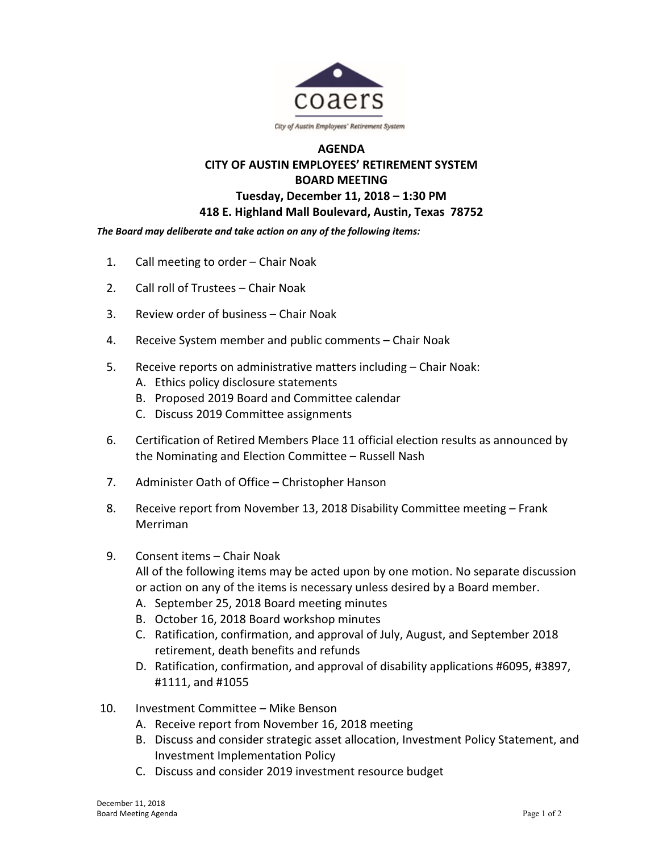

## **AGENDA CITY OF AUSTIN EMPLOYEES' RETIREMENT SYSTEM BOARD MEETING Tuesday, December 11, 2018 – 1:30 PM 418 E. Highland Mall Boulevard, Austin, Texas 78752**

*The Board may deliberate and take action on any of the following items:* 

- 1. Call meeting to order Chair Noak
- 2. Call roll of Trustees Chair Noak
- 3. Review order of business Chair Noak
- 4. Receive System member and public comments Chair Noak
- 5. Receive reports on administrative matters including Chair Noak:
	- A. Ethics policy disclosure statements
	- B. Proposed 2019 Board and Committee calendar
	- C. Discuss 2019 Committee assignments
- 6. Certification of Retired Members Place 11 official election results as announced by the Nominating and Election Committee – Russell Nash
- 7. Administer Oath of Office Christopher Hanson
- 8. Receive report from November 13, 2018 Disability Committee meeting Frank Merriman
- 9. Consent items Chair Noak All of the following items may be acted upon by one motion. No separate discussion or action on any of the items is necessary unless desired by a Board member.
	- A. September 25, 2018 Board meeting minutes
	- B. October 16, 2018 Board workshop minutes
	- C. Ratification, confirmation, and approval of July, August, and September 2018 retirement, death benefits and refunds
	- D. Ratification, confirmation, and approval of disability applications #6095, #3897, #1111, and #1055
- 10. Investment Committee Mike Benson
	- A. Receive report from November 16, 2018 meeting
	- B. Discuss and consider strategic asset allocation, Investment Policy Statement, and Investment Implementation Policy
	- C. Discuss and consider 2019 investment resource budget